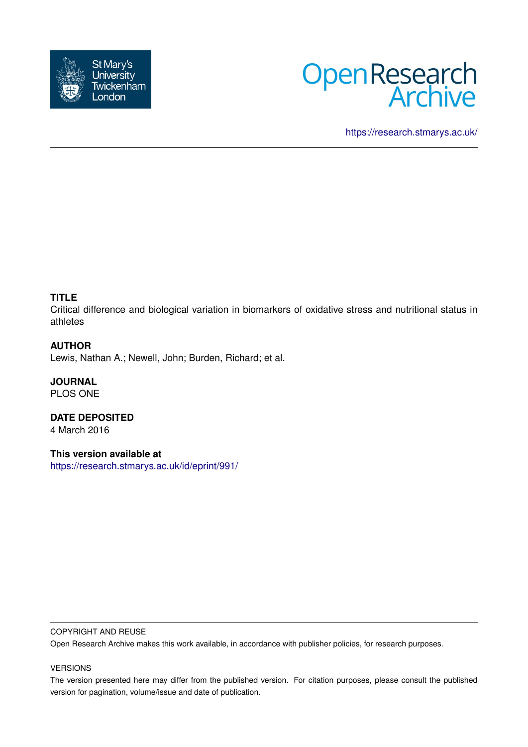



<https://research.stmarys.ac.uk/>

# **TITLE**

Critical difference and biological variation in biomarkers of oxidative stress and nutritional status in athletes

# **AUTHOR**

Lewis, Nathan A.; Newell, John; Burden, Richard; et al.

**JOURNAL** PLOS ONE

**DATE DEPOSITED** 4 March 2016

**This version available at** <https://research.stmarys.ac.uk/id/eprint/991/>

## COPYRIGHT AND REUSE

Open Research Archive makes this work available, in accordance with publisher policies, for research purposes.

#### VERSIONS

The version presented here may differ from the published version. For citation purposes, please consult the published version for pagination, volume/issue and date of publication.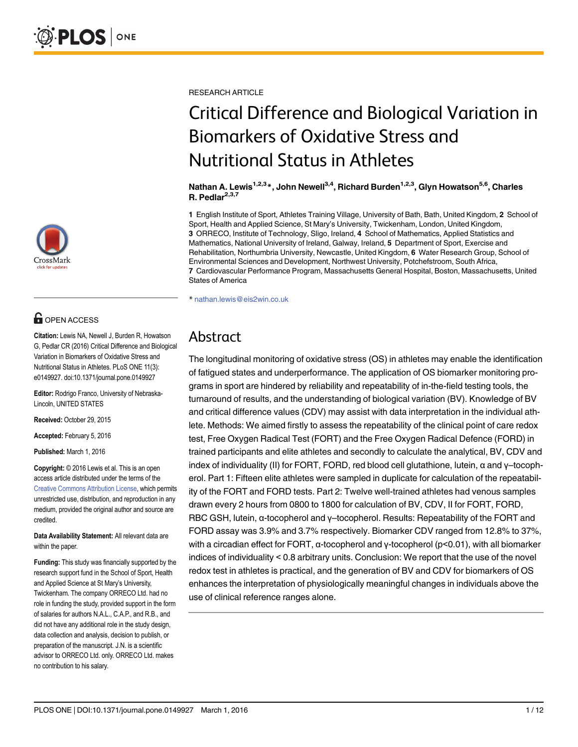

# **G** OPEN ACCESS

Citation: Lewis NA, Newell J, Burden R, Howatson G, Pedlar CR (2016) Critical Difference and Biological Variation in Biomarkers of Oxidative Stress and Nutritional Status in Athletes. PLoS ONE 11(3): e0149927. doi:10.1371/journal.pone.0149927

Editor: Rodrigo Franco, University of Nebraska-Lincoln, UNITED STATES

Received: October 29, 2015

Accepted: February 5, 2016

Published: March 1, 2016

Copyright: © 2016 Lewis et al. This is an open access article distributed under the terms of the [Creative Commons Attribution License,](http://creativecommons.org/licenses/by/4.0/) which permits unrestricted use, distribution, and reproduction in any medium, provided the original author and source are credited.

Data Availability Statement: All relevant data are within the paper.

Funding: This study was financially supported by the research support fund in the School of Sport, Health and Applied Science at St Mary's University, Twickenham. The company ORRECO Ltd. had no role in funding the study, provided support in the form of salaries for authors N.A.L., C.A.P., and R.B., and did not have any additional role in the study design, data collection and analysis, decision to publish, or preparation of the manuscript. J.N. is a scientific advisor to ORRECO Ltd. only. ORRECO Ltd. makes no contribution to his salary.

RESEARCH ARTICLE

# Critical Difference and Biological Variation in Biomarkers of Oxidative Stress and Nutritional Status in Athletes

Nathan A. Lewis<sup>1,2,3</sup>\*, John Newell<sup>3,4</sup>, Richard Burden<sup>1,2,3</sup>, Glyn Howatson<sup>5,6</sup>, Charles R. Pedla $r^{2,3,7}$ 

1 English Institute of Sport, Athletes Training Village, University of Bath, Bath, United Kingdom, 2 School of Sport, Health and Applied Science, St Mary's University, Twickenham, London, United Kingdom, 3 ORRECO, Institute of Technology, Sligo, Ireland, 4 School of Mathematics, Applied Statistics and Mathematics, National University of Ireland, Galway, Ireland, 5 Department of Sport, Exercise and Rehabilitation, Northumbria University, Newcastle, United Kingdom, 6 Water Research Group, School of Environmental Sciences and Development, Northwest University, Potchefstroom, South Africa, 7 Cardiovascular Performance Program, Massachusetts General Hospital, Boston, Massachusetts, United States of America

\* nathan.lewis@eis2win.co.uk

# Abstract

The longitudinal monitoring of oxidative stress (OS) in athletes may enable the identification of fatigued states and underperformance. The application of OS biomarker monitoring programs in sport are hindered by reliability and repeatability of in-the-field testing tools, the turnaround of results, and the understanding of biological variation (BV). Knowledge of BV and critical difference values (CDV) may assist with data interpretation in the individual athlete. Methods: We aimed firstly to assess the repeatability of the clinical point of care redox test, Free Oxygen Radical Test (FORT) and the Free Oxygen Radical Defence (FORD) in trained participants and elite athletes and secondly to calculate the analytical, BV, CDV and index of individuality (II) for FORT, FORD, red blood cell glutathione, lutein, α and γ–tocopherol. Part 1: Fifteen elite athletes were sampled in duplicate for calculation of the repeatability of the FORT and FORD tests. Part 2: Twelve well-trained athletes had venous samples drawn every 2 hours from 0800 to 1800 for calculation of BV, CDV, II for FORT, FORD, RBC GSH, lutein, α-tocopherol and γ–tocopherol. Results: Repeatability of the FORT and FORD assay was 3.9% and 3.7% respectively. Biomarker CDV ranged from 12.8% to 37%, with a circadian effect for FORT, α-tocopherol and γ-tocopherol (p<0.01), with all biomarker indices of individuality < 0.8 arbitrary units. Conclusion: We report that the use of the novel redox test in athletes is practical, and the generation of BV and CDV for biomarkers of OS enhances the interpretation of physiologically meaningful changes in individuals above the use of clinical reference ranges alone.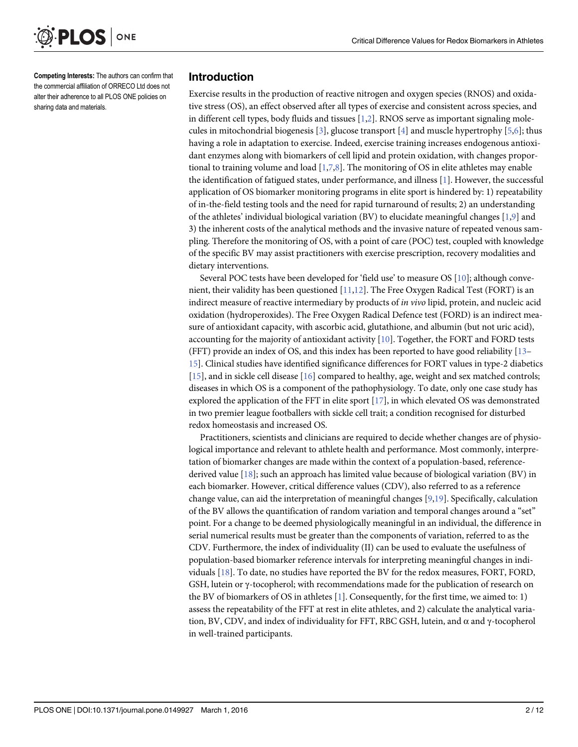<span id="page-2-0"></span>

Competing Interests: The authors can confirm that the commercial affiliation of ORRECO Ltd does not alter their adherence to all PLOS ONE policies on sharing data and materials.

#### Introduction

Exercise results in the production of reactive nitrogen and oxygen species (RNOS) and oxidative stress (OS), an effect observed after all types of exercise and consistent across species, and in different cell types, body fluids and tissues  $[1,2]$  $[1,2]$ . RNOS serve as important signaling molecules in mitochondrial biogenesis  $[3]$  $[3]$ , glucose transport  $[4]$  $[4]$  $[4]$  and muscle hypertrophy  $[5,6]$  $[5,6]$  $[5,6]$  $[5,6]$ ; thus having a role in adaptation to exercise. Indeed, exercise training increases endogenous antioxidant enzymes along with biomarkers of cell lipid and protein oxidation, with changes proportional to training volume and load  $[1,7,8]$  $[1,7,8]$ . The monitoring of OS in elite athletes may enable the identification of fatigued states, under performance, and illness [\[1\]](#page-10-0). However, the successful application of OS biomarker monitoring programs in elite sport is hindered by: 1) repeatability of in-the-field testing tools and the need for rapid turnaround of results; 2) an understanding of the athletes' individual biological variation (BV) to elucidate meaningful changes [\[1](#page-10-0)[,9\]](#page-11-0) and 3) the inherent costs of the analytical methods and the invasive nature of repeated venous sampling. Therefore the monitoring of OS, with a point of care (POC) test, coupled with knowledge of the specific BV may assist practitioners with exercise prescription, recovery modalities and dietary interventions.

Several POC tests have been developed for 'field use' to measure OS [\[10](#page-11-0)]; although convenient, their validity has been questioned  $[11,12]$ . The Free Oxygen Radical Test (FORT) is an indirect measure of reactive intermediary by products of in vivo lipid, protein, and nucleic acid oxidation (hydroperoxides). The Free Oxygen Radical Defence test (FORD) is an indirect measure of antioxidant capacity, with ascorbic acid, glutathione, and albumin (but not uric acid), accounting for the majority of antioxidant activity [\[10](#page-11-0)]. Together, the FORT and FORD tests (FFT) provide an index of OS, and this index has been reported to have good reliability [[13](#page-11-0)– [15\]](#page-11-0). Clinical studies have identified significance differences for FORT values in type-2 diabetics [\[15](#page-11-0)], and in sickle cell disease [[16](#page-11-0)] compared to healthy, age, weight and sex matched controls; diseases in which OS is a component of the pathophysiology. To date, only one case study has explored the application of the FFT in elite sport  $[17]$  $[17]$ , in which elevated OS was demonstrated in two premier league footballers with sickle cell trait; a condition recognised for disturbed redox homeostasis and increased OS.

Practitioners, scientists and clinicians are required to decide whether changes are of physiological importance and relevant to athlete health and performance. Most commonly, interpretation of biomarker changes are made within the context of a population-based, referencederived value  $[18]$ ; such an approach has limited value because of biological variation (BV) in each biomarker. However, critical difference values (CDV), also referred to as a reference change value, can aid the interpretation of meaningful changes [\[9,19\]](#page-11-0). Specifically, calculation of the BV allows the quantification of random variation and temporal changes around a "set" point. For a change to be deemed physiologically meaningful in an individual, the difference in serial numerical results must be greater than the components of variation, referred to as the CDV. Furthermore, the index of individuality (II) can be used to evaluate the usefulness of population-based biomarker reference intervals for interpreting meaningful changes in individuals [[18](#page-11-0)]. To date, no studies have reported the BV for the redox measures, FORT, FORD, GSH, lutein or γ-tocopherol; with recommendations made for the publication of research on the BV of biomarkers of OS in athletes  $[1]$  $[1]$ . Consequently, for the first time, we aimed to: 1) assess the repeatability of the FFT at rest in elite athletes, and 2) calculate the analytical variation, BV, CDV, and index of individuality for FFT, RBC GSH, lutein, and  $α$  and  $γ$ -tocopherol in well-trained participants.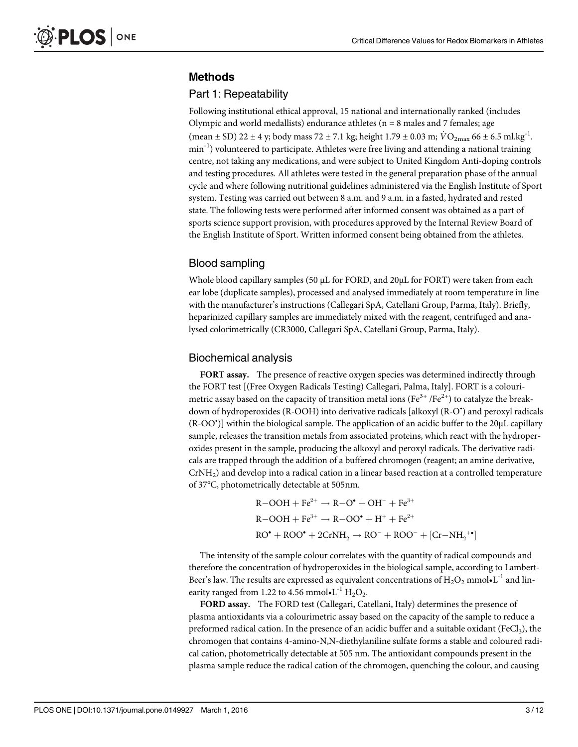# Methods

#### Part 1: Repeatability

Following institutional ethical approval, 15 national and internationally ranked (includes Olympic and world medallists) endurance athletes ( $n = 8$  males and 7 females; age (mean  $\pm$  SD) 22  $\pm$  4 y; body mass 72  $\pm$  7.1 kg; height 1.79  $\pm$  0.03 m;  $\overline{VO}_{2\text{max}}$  66  $\pm$  6.5 ml.kg<sup>-1</sup>. min<sup>-1</sup>) volunteered to participate. Athletes were free living and attending a national training centre, not taking any medications, and were subject to United Kingdom Anti-doping controls and testing procedures. All athletes were tested in the general preparation phase of the annual cycle and where following nutritional guidelines administered via the English Institute of Sport system. Testing was carried out between 8 a.m. and 9 a.m. in a fasted, hydrated and rested state. The following tests were performed after informed consent was obtained as a part of sports science support provision, with procedures approved by the Internal Review Board of the English Institute of Sport. Written informed consent being obtained from the athletes.

## Blood sampling

Whole blood capillary samples (50 μL for FORD, and 20μL for FORT) were taken from each ear lobe (duplicate samples), processed and analysed immediately at room temperature in line with the manufacturer's instructions (Callegari SpA, Catellani Group, Parma, Italy). Briefly, heparinized capillary samples are immediately mixed with the reagent, centrifuged and analysed colorimetrically (CR3000, Callegari SpA, Catellani Group, Parma, Italy).

#### Biochemical analysis

FORT assay. The presence of reactive oxygen species was determined indirectly through the FORT test [(Free Oxygen Radicals Testing) Callegari, Palma, Italy]. FORT is a colourimetric assay based on the capacity of transition metal ions ( $Fe<sup>3+</sup>/Fe<sup>2+</sup>$ ) to catalyze the breakdown of hydroperoxides (R-OOH) into derivative radicals [alkoxyl (R-O• ) and peroxyl radicals (R-OO• )] within the biological sample. The application of an acidic buffer to the 20μL capillary sample, releases the transition metals from associated proteins, which react with the hydroperoxides present in the sample, producing the alkoxyl and peroxyl radicals. The derivative radicals are trapped through the addition of a buffered chromogen (reagent; an amine derivative,  $CrNH<sub>2</sub>$ ) and develop into a radical cation in a linear based reaction at a controlled temperature of 37°C, photometrically detectable at 505nm.

$$
R-OOH + Fe2+ \rightarrow R-O• + OH- + Fe3+
$$
  
R-OOH + Fe<sup>3+</sup> \rightarrow R-OO<sup>•</sup> + H<sup>+</sup> + Fe<sup>2+</sup>  
RO<sup>•</sup> + ROO<sup>•</sup> + 2CrNH<sub>2</sub> \rightarrow RO<sup>-</sup> + ROO<sup>-</sup> + [Cr–NH<sub>2</sub><sup>+•</sup>]

The intensity of the sample colour correlates with the quantity of radical compounds and therefore the concentration of hydroperoxides in the biological sample, according to Lambert-Beer's law. The results are expressed as equivalent concentrations of  $H_2O_2$  mmol•L<sup>-1</sup> and linearity ranged from 1.22 to 4.56 mmol• $L^{-1}$  H<sub>2</sub>O<sub>2</sub>.

FORD assay. The FORD test (Callegari, Catellani, Italy) determines the presence of plasma antioxidants via a colourimetric assay based on the capacity of the sample to reduce a preformed radical cation. In the presence of an acidic buffer and a suitable oxidant (FeCl<sub>3</sub>), the chromogen that contains 4-amino-N,N-diethylaniline sulfate forms a stable and coloured radical cation, photometrically detectable at 505 nm. The antioxidant compounds present in the plasma sample reduce the radical cation of the chromogen, quenching the colour, and causing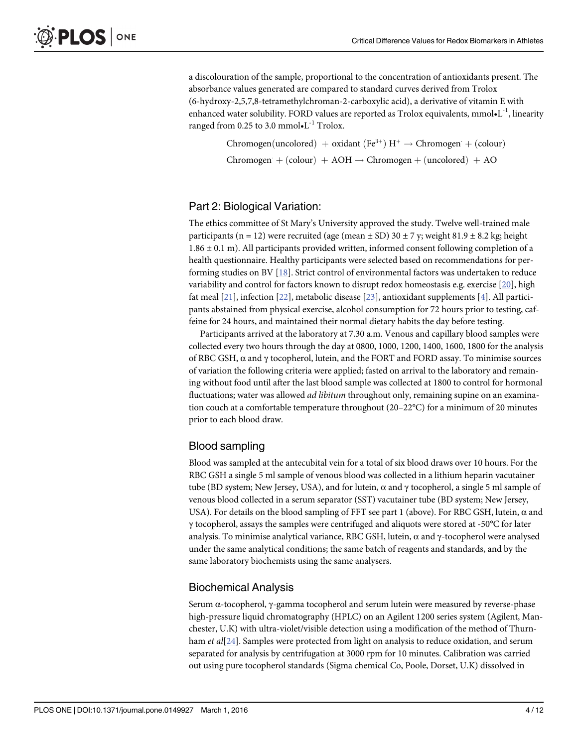<span id="page-4-0"></span>a discolouration of the sample, proportional to the concentration of antioxidants present. The absorbance values generated are compared to standard curves derived from Trolox (6-hydroxy-2,5,7,8-tetramethylchroman-2-carboxylic acid), a derivative of vitamin E with enhanced water solubility. FORD values are reported as Trolox equivalents,  $mmo l-l<sup>-1</sup>$ , linearity ranged from 0.25 to 3.0 mmol $\cdot L^{-1}$  Trolox.

> Chromogen(uncolored) + oxidant ( $Fe^{3+}$ ) H<sup>+</sup>  $\rightarrow$  Chromogen: + (colour)  $Chromogen + (colour) + AOH \rightarrow Chromogen + (uncolored) + AO$

# Part 2: Biological Variation:

The ethics committee of St Mary's University approved the study. Twelve well-trained male participants (n = 12) were recruited (age (mean  $\pm$  SD) 30  $\pm$  7 y; weight 81.9  $\pm$  8.2 kg; height 1.86 ± 0.1 m). All participants provided written, informed consent following completion of a health questionnaire. Healthy participants were selected based on recommendations for performing studies on BV [\[18\]](#page-11-0). Strict control of environmental factors was undertaken to reduce variability and control for factors known to disrupt redox homeostasis e.g. exercise [[20](#page-11-0)], high fat meal [\[21\]](#page-11-0), infection [[22](#page-11-0)], metabolic disease [[23](#page-11-0)], antioxidant supplements [\[4](#page-11-0)]. All participants abstained from physical exercise, alcohol consumption for 72 hours prior to testing, caffeine for 24 hours, and maintained their normal dietary habits the day before testing.

Participants arrived at the laboratory at 7.30 a.m. Venous and capillary blood samples were collected every two hours through the day at 0800, 1000, 1200, 1400, 1600, 1800 for the analysis of RBC GSH, α and γ tocopherol, lutein, and the FORT and FORD assay. To minimise sources of variation the following criteria were applied; fasted on arrival to the laboratory and remaining without food until after the last blood sample was collected at 1800 to control for hormonal fluctuations; water was allowed *ad libitum* throughout only, remaining supine on an examination couch at a comfortable temperature throughout  $(20-22^{\circ}C)$  for a minimum of 20 minutes prior to each blood draw.

# Blood sampling

Blood was sampled at the antecubital vein for a total of six blood draws over 10 hours. For the RBC GSH a single 5 ml sample of venous blood was collected in a lithium heparin vacutainer tube (BD system; New Jersey, USA), and for lutein,  $\alpha$  and  $\gamma$  tocopherol, a single 5 ml sample of venous blood collected in a serum separator (SST) vacutainer tube (BD system; New Jersey, USA). For details on the blood sampling of FFT see part 1 (above). For RBC GSH, lutein,  $\alpha$  and γ tocopherol, assays the samples were centrifuged and aliquots were stored at -50°C for later analysis. To minimise analytical variance, RBC GSH, lutein,  $\alpha$  and  $\gamma$ -tocopherol were analysed under the same analytical conditions; the same batch of reagents and standards, and by the same laboratory biochemists using the same analysers.

# Biochemical Analysis

Serum α-tocopherol, γ-gamma tocopherol and serum lutein were measured by reverse-phase high-pressure liquid chromatography (HPLC) on an Agilent 1200 series system (Agilent, Manchester, U.K) with ultra-violet/visible detection using a modification of the method of Thurnham *et al*[[24\]](#page-12-0). Samples were protected from light on analysis to reduce oxidation, and serum separated for analysis by centrifugation at 3000 rpm for 10 minutes. Calibration was carried out using pure tocopherol standards (Sigma chemical Co, Poole, Dorset, U.K) dissolved in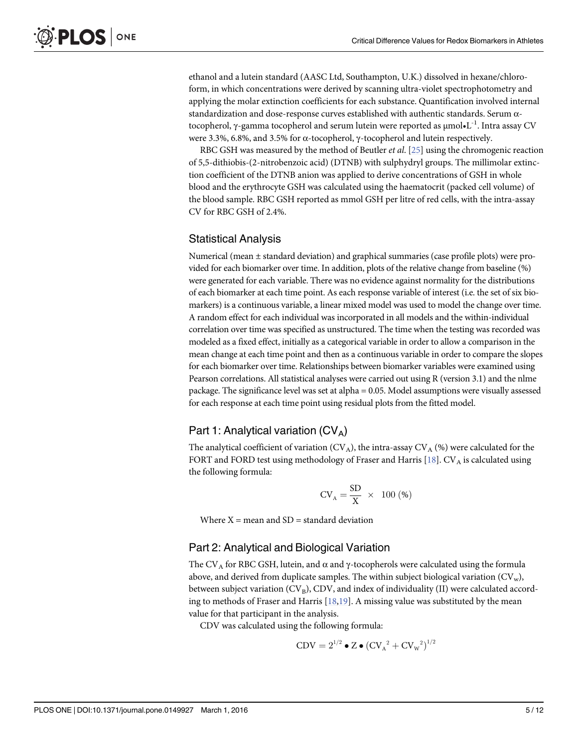<span id="page-5-0"></span>ethanol and a lutein standard (AASC Ltd, Southampton, U.K.) dissolved in hexane/chloroform, in which concentrations were derived by scanning ultra-violet spectrophotometry and applying the molar extinction coefficients for each substance. Quantification involved internal standardization and dose-response curves established with authentic standards. Serum αtocopherol, γ-gamma tocopherol and serum lutein were reported as  $\mu$ mol $\text{L}^{-1}$ . Intra assay CV were 3.3%, 6.8%, and 3.5% for α-tocopherol, γ-tocopherol and lutein respectively.

RBC GSH was measured by the method of Beutler et al.  $[25]$  $[25]$  $[25]$  using the chromogenic reaction of 5,5-dithiobis-(2-nitrobenzoic acid) (DTNB) with sulphydryl groups. The millimolar extinction coefficient of the DTNB anion was applied to derive concentrations of GSH in whole blood and the erythrocyte GSH was calculated using the haematocrit (packed cell volume) of the blood sample. RBC GSH reported as mmol GSH per litre of red cells, with the intra-assay CV for RBC GSH of 2.4%.

## Statistical Analysis

Numerical (mean ± standard deviation) and graphical summaries (case profile plots) were provided for each biomarker over time. In addition, plots of the relative change from baseline (%) were generated for each variable. There was no evidence against normality for the distributions of each biomarker at each time point. As each response variable of interest (i.e. the set of six biomarkers) is a continuous variable, a linear mixed model was used to model the change over time. A random effect for each individual was incorporated in all models and the within-individual correlation over time was specified as unstructured. The time when the testing was recorded was modeled as a fixed effect, initially as a categorical variable in order to allow a comparison in the mean change at each time point and then as a continuous variable in order to compare the slopes for each biomarker over time. Relationships between biomarker variables were examined using Pearson correlations. All statistical analyses were carried out using R (version 3.1) and the nlme package. The significance level was set at alpha = 0.05. Model assumptions were visually assessed for each response at each time point using residual plots from the fitted model.

## Part 1: Analytical variation  $(CV_A)$

The analytical coefficient of variation (CV<sub>A</sub>), the intra-assay CV<sub>A</sub> (%) were calculated for the FORT and FORD test using methodology of Fraser and Harris  $[18]$  $[18]$  $[18]$ . CV<sub>A</sub> is calculated using the following formula:

$$
CV_A = \frac{SD}{X} \times 100 \text{ (*)}
$$

Where  $X =$  mean and  $SD =$  standard deviation

#### Part 2: Analytical and Biological Variation

The CV<sub>A</sub> for RBC GSH, lutein, and  $\alpha$  and  $\gamma$ -tocopherols were calculated using the formula above, and derived from duplicate samples. The within subject biological variation  $(CV_w)$ , between subject variation  $(CV_B)$ , CDV, and index of individuality (II) were calculated according to methods of Fraser and Harris  $[18,19]$ . A missing value was substituted by the mean value for that participant in the analysis.

CDV was calculated using the following formula:

$$
CDV = 2^{1/2} \bullet Z \bullet (CV_A^2 + CV_W^2)^{1/2}
$$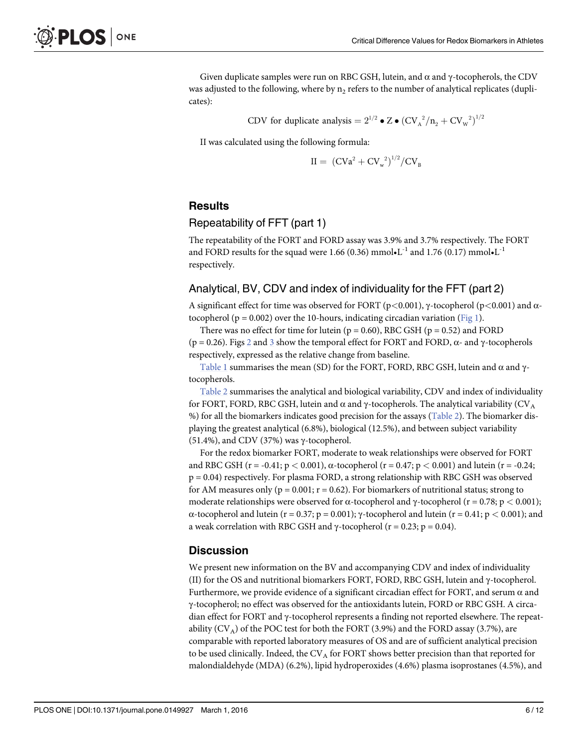<span id="page-6-0"></span>Given duplicate samples were run on RBC GSH, lutein, and  $\alpha$  and  $\gamma$ -tocopherols, the CDV was adjusted to the following, where by  $n_2$  refers to the number of analytical replicates (duplicates):

CDV for duplicate analysis = 
$$
2^{1/2} \cdot Z \cdot (CV_A^2/n_2 + CV_W^2)^{1/2}
$$

II was calculated using the following formula:

$$
II = (CVa2 + CVw2)1/2/CVB
$$

## **Results**

#### Repeatability of FFT (part 1)

The repeatability of the FORT and FORD assay was 3.9% and 3.7% respectively. The FORT and FORD results for the squad were 1.66 (0.36) mmol $\cdot L^{-1}$  and 1.76 (0.17) mmol $\cdot L^{-1}$ respectively.

#### Analytical, BV, CDV and index of individuality for the FFT (part 2)

A significant effect for time was observed for FORT (p<0.001), γ-tocopherol (p<0.001) and  $\alpha$ tocopherol ( $p = 0.002$ ) over the 10-hours, indicating circadian variation [\(Fig 1\)](#page-7-0).

There was no effect for time for lutein ( $p = 0.60$ ), RBC GSH ( $p = 0.52$ ) and FORD (p = 0.[2](#page-7-0)6). Figs  $2$  and  $3$  show the temporal effect for FORT and FORD,  $\alpha$ - and  $\gamma$ -tocopherols respectively, expressed as the relative change from baseline.

[Table 1](#page-8-0) summarises the mean (SD) for the FORT, FORD, RBC GSH, lutein and  $\alpha$  and  $\gamma$ tocopherols.

[Table 2](#page-9-0) summarises the analytical and biological variability, CDV and index of individuality for FORT, FORD, RBC GSH, lutein and  $\alpha$  and  $\gamma$ -tocopherols. The analytical variability (CV<sub>A</sub> %) for all the biomarkers indicates good precision for the assays [\(Table 2](#page-9-0)). The biomarker displaying the greatest analytical (6.8%), biological (12.5%), and between subject variability (51.4%), and CDV (37%) was  $\gamma$ -tocopherol.

For the redox biomarker FORT, moderate to weak relationships were observed for FORT and RBC GSH (r = -0.41;  $p < 0.001$ ),  $\alpha$ -tocopherol (r = 0.47;  $p < 0.001$ ) and lutein (r = -0.24; p = 0.04) respectively. For plasma FORD, a strong relationship with RBC GSH was observed for AM measures only ( $p = 0.001$ ;  $r = 0.62$ ). For biomarkers of nutritional status; strong to moderate relationships were observed for α-tocopherol and γ-tocopherol (r = 0.78; p < 0.001); α-tocopherol and lutein (r = 0.37; p = 0.001); γ-tocopherol and lutein (r = 0.41; p < 0.001); and a weak correlation with RBC GSH and γ-tocopherol ( $r = 0.23$ ;  $p = 0.04$ ).

#### **Discussion**

We present new information on the BV and accompanying CDV and index of individuality (II) for the OS and nutritional biomarkers FORT, FORD, RBC GSH, lutein and γ-tocopherol. Furthermore, we provide evidence of a significant circadian effect for FORT, and serum  $\alpha$  and γ-tocopherol; no effect was observed for the antioxidants lutein, FORD or RBC GSH. A circadian effect for FORT and γ-tocopherol represents a finding not reported elsewhere. The repeatability  $(CV_A)$  of the POC test for both the FORT (3.9%) and the FORD assay (3.7%), are comparable with reported laboratory measures of OS and are of sufficient analytical precision to be used clinically. Indeed, the  $CV_A$  for FORT shows better precision than that reported for malondialdehyde (MDA) (6.2%), lipid hydroperoxides (4.6%) plasma isoprostanes (4.5%), and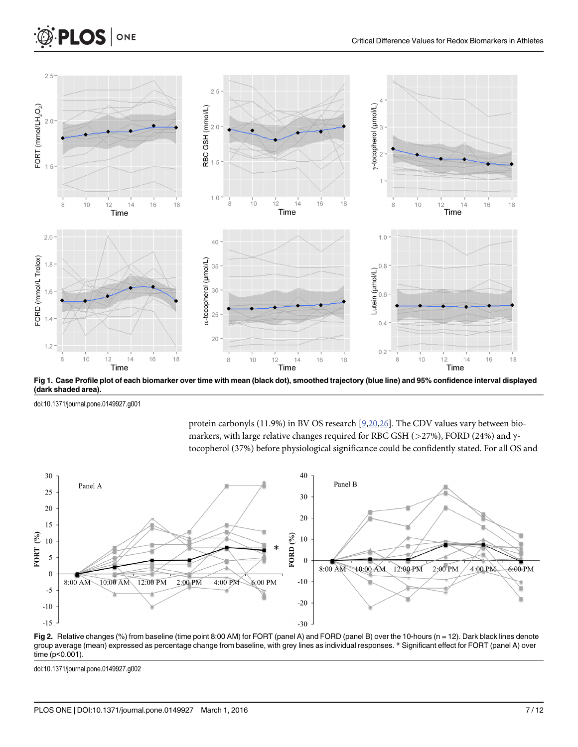

[Fig 1. C](#page-6-0)ase Profile plot of each biomarker over time with mean (black dot), smoothed trajectory (blue line) and 95% confidence interval displayed (dark shaded area).

doi:10.1371/journal.pone.0149927.g001

ONE

<span id="page-7-0"></span>**PLOS** 

protein carbonyls (11.9%) in BV OS research [\[9,20](#page-11-0)[,26\]](#page-12-0). The CDV values vary between biomarkers, with large relative changes required for RBC GSH ( $>$ 27%), FORD (24%) and  $\gamma$ tocopherol (37%) before physiological significance could be confidently stated. For all OS and



[Fig 2.](#page-6-0) Relative changes (%) from baseline (time point 8:00 AM) for FORT (panel A) and FORD (panel B) over the 10-hours (n = 12). Dark black lines denote group average (mean) expressed as percentage change from baseline, with grey lines as individual responses. \* Significant effect for FORT (panel A) over time (p<0.001).

doi:10.1371/journal.pone.0149927.g002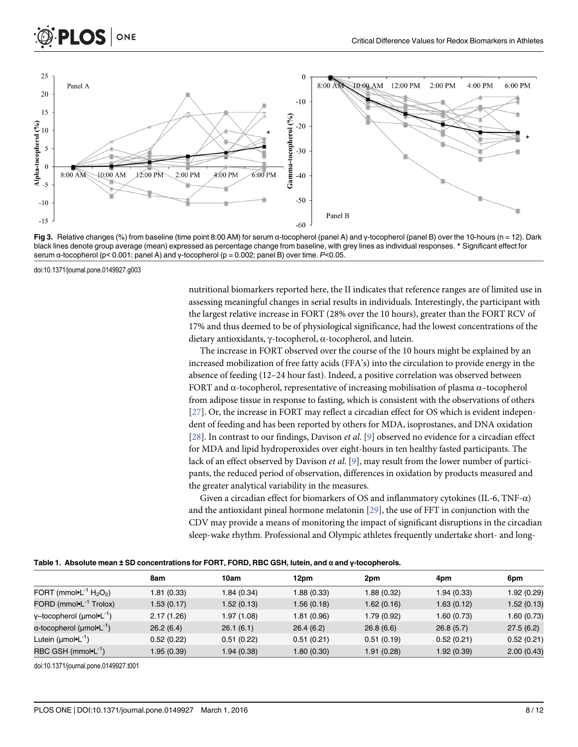<span id="page-8-0"></span>

[Fig 3.](#page-6-0) Relative changes (%) from baseline (time point 8:00 AM) for serum α-tocopherol (panel A) and y-tocopherol (panel B) over the 10-hours (n = 12). Dark black lines denote group average (mean) expressed as percentage change from baseline, with grey lines as individual responses. \* Significant effect for serum α-tocopherol (p< 0.001; panel A) and γ-tocopherol (p = 0.002; panel B) over time. P<0.05.

doi:10.1371/journal.pone.0149927.g003

nutritional biomarkers reported here, the II indicates that reference ranges are of limited use in assessing meaningful changes in serial results in individuals. Interestingly, the participant with the largest relative increase in FORT (28% over the 10 hours), greater than the FORT RCV of 17% and thus deemed to be of physiological significance, had the lowest concentrations of the dietary antioxidants, γ-tocopherol, α-tocopherol, and lutein.

The increase in FORT observed over the course of the 10 hours might be explained by an increased mobilization of free fatty acids (FFA's) into the circulation to provide energy in the absence of feeding (12–24 hour fast). Indeed, a positive correlation was observed between FORT and α-tocopherol, representative of increasing mobilisation of plasma α–tocopherol from adipose tissue in response to fasting, which is consistent with the observations of others [\[27](#page-12-0)]. Or, the increase in FORT may reflect a circadian effect for OS which is evident independent of feeding and has been reported by others for MDA, isoprostanes, and DNA oxidation [\[28](#page-12-0)]. In contrast to our findings, Davison et al. [[9\]](#page-11-0) observed no evidence for a circadian effect for MDA and lipid hydroperoxides over eight-hours in ten healthy fasted participants. The lack of an effect observed by Davison *et al.* [[9\]](#page-11-0), may result from the lower number of participants, the reduced period of observation, differences in oxidation by products measured and the greater analytical variability in the measures.

Given a circadian effect for biomarkers of OS and inflammatory cytokines (IL-6, TNF- $\alpha$ ) and the antioxidant pineal hormone melatonin [[29](#page-12-0)], the use of FFT in conjunction with the CDV may provide a means of monitoring the impact of significant disruptions in the circadian sleep-wake rhythm. Professional and Olympic athletes frequently undertake short- and long-

|                                                            | 8am         | 10am        | 12pm        | 2pm         | 4pm        | 6pm        |  |  |
|------------------------------------------------------------|-------------|-------------|-------------|-------------|------------|------------|--|--|
| FORT (mmol•L <sup>-1</sup> H <sub>2</sub> O <sub>2</sub> ) | 1.81 (0.33) | 1.84 (0.34) | 1.88 (0.33) | 1.88 (0.32) | 1.94(0.33) | 1.92(0.29) |  |  |
| FORD (mmol•L <sup>-1</sup> Trolox)                         | 1.53 (0.17) | 1.52 (0.13) | 1.56 (0.18) | 1.62(0.16)  | 1.63(0.12) | 1.52(0.13) |  |  |
| $y$ -tocopherol ( $\mu$ mol $\blacksquare$ <sup>-1</sup> ) | 2.17(1.26)  | 1.97 (1.08) | 1.81(0.96)  | 1.79 (0.92) | 1.60(0.73) | 1.60(0.73) |  |  |
| α-tocopherol (μmol•L <sup>-1</sup> )                       | 26.2(6.4)   | 26.1(6.1)   | 26.4(6.2)   | 26.8(6.6)   | 26.8(5.7)  | 27.5(6.2)  |  |  |
| Lutein (µmol•L <sup>-1</sup> )                             | 0.52(0.22)  | 0.51(0.22)  | 0.51(0.21)  | 0.51(0.19)  | 0.52(0.21) | 0.52(0.21) |  |  |
| $RBC GSH (mmol·L^{-1})$                                    | 1.95 (0.39) | 1.94 (0.38) | 1.80 (0.30) | 1.91(0.28)  | 1.92(0.39) | 2.00(0.43) |  |  |

doi:10.1371/journal.pone.0149927.t001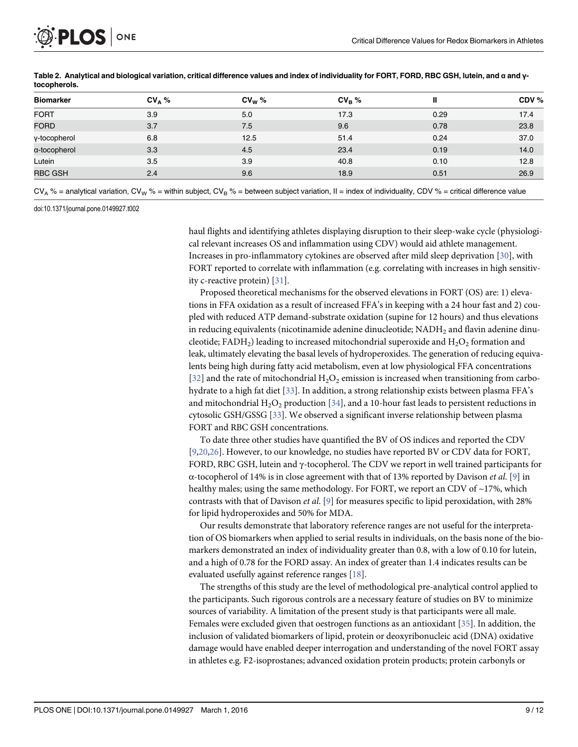<span id="page-9-0"></span>

| <b>Biomarker</b> | $CV_A %$ | $CV_w %$ | $CV_B %$ | Ш    | CDV % |
|------------------|----------|----------|----------|------|-------|
| <b>FORT</b>      | 3.9      | 5.0      | 17.3     | 0.29 | 17.4  |
| <b>FORD</b>      | 3.7      | 7.5      | 9.6      | 0.78 | 23.8  |
| y-tocopherol     | 6.8      | 12.5     | 51.4     | 0.24 | 37.0  |
| a-tocopherol     | 3.3      | 4.5      | 23.4     | 0.19 | 14.0  |
| Lutein           | 3.5      | 3.9      | 40.8     | 0.10 | 12.8  |
| <b>RBC GSH</b>   | 2.4      | 9.6      | 18.9     | 0.51 | 26.9  |

[Table 2.](#page-6-0) Analytical and biological variation, critical difference values and index of individuality for FORT, FORD, RBC GSH, lutein, and α and γtocopherols.

 $CV_A$  % = analytical variation,  $CV_W$  % = within subject,  $CV_B$  % = between subject variation, II = index of individuality, CDV % = critical difference value

doi:10.1371/journal.pone.0149927.t002

haul flights and identifying athletes displaying disruption to their sleep-wake cycle (physiological relevant increases OS and inflammation using CDV) would aid athlete management. Increases in pro-inflammatory cytokines are observed after mild sleep deprivation [[30](#page-12-0)], with FORT reported to correlate with inflammation (e.g. correlating with increases in high sensitivity c-reactive protein)  $[31]$ .

Proposed theoretical mechanisms for the observed elevations in FORT (OS) are: 1) elevations in FFA oxidation as a result of increased FFA's in keeping with a 24 hour fast and 2) coupled with reduced ATP demand-substrate oxidation (supine for 12 hours) and thus elevations in reducing equivalents (nicotinamide adenine dinucleotide; NADH<sub>2</sub> and flavin adenine dinucleotide;  $FADH<sub>2</sub>$ ) leading to increased mitochondrial superoxide and  $H<sub>2</sub>O<sub>2</sub>$  formation and leak, ultimately elevating the basal levels of hydroperoxides. The generation of reducing equivalents being high during fatty acid metabolism, even at low physiological FFA concentrations [ $32$ ] and the rate of mitochondrial  $H_2O_2$  emission is increased when transitioning from carbohydrate to a high fat diet [[33](#page-12-0)]. In addition, a strong relationship exists between plasma FFA's and mitochondrial H<sub>2</sub>O<sub>2</sub> production [\[34\]](#page-12-0), and a 10-hour fast leads to persistent reductions in cytosolic GSH/GSSG [[33](#page-12-0)]. We observed a significant inverse relationship between plasma FORT and RBC GSH concentrations.

To date three other studies have quantified the BV of OS indices and reported the CDV [\[9,20](#page-11-0)[,26\]](#page-12-0). However, to our knowledge, no studies have reported BV or CDV data for FORT, FORD, RBC GSH, lutein and γ-tocopherol. The CDV we report in well trained participants for α-tocopherol of 14% is in close agreement with that of 13% reported by Davison *et al.* [\[9\]](#page-11-0) in healthy males; using the same methodology. For FORT, we report an CDV of ~17%, which contrasts with that of Davison et al.  $[9]$  $[9]$  $[9]$  for measures specific to lipid peroxidation, with 28% for lipid hydroperoxides and 50% for MDA.

Our results demonstrate that laboratory reference ranges are not useful for the interpretation of OS biomarkers when applied to serial results in individuals, on the basis none of the biomarkers demonstrated an index of individuality greater than 0.8, with a low of 0.10 for lutein, and a high of 0.78 for the FORD assay. An index of greater than 1.4 indicates results can be evaluated usefully against reference ranges [\[18\]](#page-11-0).

The strengths of this study are the level of methodological pre-analytical control applied to the participants. Such rigorous controls are a necessary feature of studies on BV to minimize sources of variability. A limitation of the present study is that participants were all male. Females were excluded given that oestrogen functions as an antioxidant [[35](#page-12-0)]. In addition, the inclusion of validated biomarkers of lipid, protein or deoxyribonucleic acid (DNA) oxidative damage would have enabled deeper interrogation and understanding of the novel FORT assay in athletes e.g. F2-isoprostanes; advanced oxidation protein products; protein carbonyls or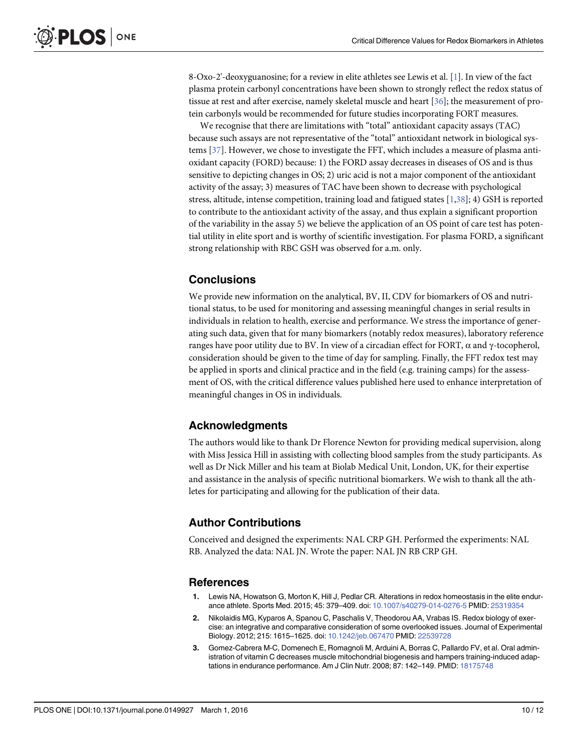<span id="page-10-0"></span>8-Oxo-2'-deoxyguanosine; for a review in elite athletes see Lewis et al. [1]. In view of the fact plasma protein carbonyl concentrations have been shown to strongly reflect the redox status of tissue at rest and after exercise, namely skeletal muscle and heart [\[36\]](#page-12-0); the measurement of protein carbonyls would be recommended for future studies incorporating FORT measures.

We recognise that there are limitations with "total" antioxidant capacity assays (TAC) because such assays are not representative of the "total" antioxidant network in biological systems [[37](#page-12-0)]. However, we chose to investigate the FFT, which includes a measure of plasma antioxidant capacity (FORD) because: 1) the FORD assay decreases in diseases of OS and is thus sensitive to depicting changes in OS; 2) uric acid is not a major component of the antioxidant activity of the assay; 3) measures of TAC have been shown to decrease with psychological stress, altitude, intense competition, training load and fatigued states [1[,38](#page-12-0)]; 4) GSH is reported to contribute to the antioxidant activity of the assay, and thus explain a significant proportion of the variability in the assay 5) we believe the application of an OS point of care test has potential utility in elite sport and is worthy of scientific investigation. For plasma FORD, a significant strong relationship with RBC GSH was observed for a.m. only.

# **Conclusions**

We provide new information on the analytical, BV, II, CDV for biomarkers of OS and nutritional status, to be used for monitoring and assessing meaningful changes in serial results in individuals in relation to health, exercise and performance. We stress the importance of generating such data, given that for many biomarkers (notably redox measures), laboratory reference ranges have poor utility due to BV. In view of a circadian effect for FORT, α and γ-tocopherol, consideration should be given to the time of day for sampling. Finally, the FFT redox test may be applied in sports and clinical practice and in the field (e.g. training camps) for the assessment of OS, with the critical difference values published here used to enhance interpretation of meaningful changes in OS in individuals.

# Acknowledgments

The authors would like to thank Dr Florence Newton for providing medical supervision, along with Miss Jessica Hill in assisting with collecting blood samples from the study participants. As well as Dr Nick Miller and his team at Biolab Medical Unit, London, UK, for their expertise and assistance in the analysis of specific nutritional biomarkers. We wish to thank all the athletes for participating and allowing for the publication of their data.

# Author Contributions

Conceived and designed the experiments: NAL CRP GH. Performed the experiments: NAL RB. Analyzed the data: NAL JN. Wrote the paper: NAL JN RB CRP GH.

# References

- [1.](#page-2-0) Lewis NA, Howatson G, Morton K, Hill J, Pedlar CR. Alterations in redox homeostasis in the elite endurance athlete. Sports Med. 2015; 45: 379–409. doi: [10.1007/s40279-014-0276-5](http://dx.doi.org/10.1007/s40279-014-0276-5) PMID: [25319354](http://www.ncbi.nlm.nih.gov/pubmed/25319354)
- [2.](#page-2-0) Nikolaidis MG, Kyparos A, Spanou C, Paschalis V, Theodorou AA, Vrabas IS. Redox biology of exercise: an integrative and comparative consideration of some overlooked issues. Journal of Experimental Biology. 2012; 215: 1615–1625. doi: [10.1242/jeb.067470](http://dx.doi.org/10.1242/jeb.067470) PMID: [22539728](http://www.ncbi.nlm.nih.gov/pubmed/22539728)
- [3.](#page-2-0) Gomez-Cabrera M-C, Domenech E, Romagnoli M, Arduini A, Borras C, Pallardo FV, et al. Oral administration of vitamin C decreases muscle mitochondrial biogenesis and hampers training-induced adaptations in endurance performance. Am J Clin Nutr. 2008; 87: 142–149. PMID: [18175748](http://www.ncbi.nlm.nih.gov/pubmed/18175748)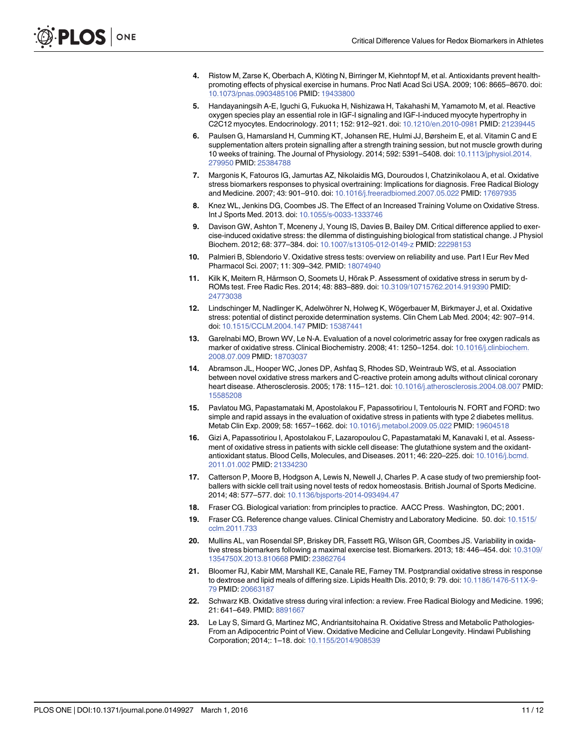- <span id="page-11-0"></span>[4.](#page-2-0) Ristow M, Zarse K, Oberbach A, Klöting N, Birringer M, Kiehntopf M, et al. Antioxidants prevent healthpromoting effects of physical exercise in humans. Proc Natl Acad Sci USA. 2009; 106: 8665–8670. doi: [10.1073/pnas.0903485106](http://dx.doi.org/10.1073/pnas.0903485106) PMID: [19433800](http://www.ncbi.nlm.nih.gov/pubmed/19433800)
- [5.](#page-2-0) Handayaningsih A-E, Iguchi G, Fukuoka H, Nishizawa H, Takahashi M, Yamamoto M, et al. Reactive oxygen species play an essential role in IGF-I signaling and IGF-I-induced myocyte hypertrophy in C2C12 myocytes. Endocrinology. 2011; 152: 912–921. doi: [10.1210/en.2010-0981](http://dx.doi.org/10.1210/en.2010-0981) PMID: [21239445](http://www.ncbi.nlm.nih.gov/pubmed/21239445)
- [6.](#page-2-0) Paulsen G, Hamarsland H, Cumming KT, Johansen RE, Hulmi JJ, Børsheim E, et al. Vitamin C and E supplementation alters protein signalling after a strength training session, but not muscle growth during 10 weeks of training. The Journal of Physiology. 2014; 592: 5391–5408. doi: [10.1113/jphysiol.2014.](http://dx.doi.org/10.1113/jphysiol.2014.279950) [279950](http://dx.doi.org/10.1113/jphysiol.2014.279950) PMID: [25384788](http://www.ncbi.nlm.nih.gov/pubmed/25384788)
- [7.](#page-2-0) Margonis K, Fatouros IG, Jamurtas AZ, Nikolaidis MG, Douroudos I, Chatzinikolaou A, et al. Oxidative stress biomarkers responses to physical overtraining: Implications for diagnosis. Free Radical Biology and Medicine. 2007; 43: 901–910. doi: [10.1016/j.freeradbiomed.2007.05.022](http://dx.doi.org/10.1016/j.freeradbiomed.2007.05.022) PMID: [17697935](http://www.ncbi.nlm.nih.gov/pubmed/17697935)
- [8.](#page-2-0) Knez WL, Jenkins DG, Coombes JS. The Effect of an Increased Training Volume on Oxidative Stress. Int J Sports Med. 2013. doi: [10.1055/s-0033-1333746](http://dx.doi.org/10.1055/s-0033-1333746)
- [9.](#page-2-0) Davison GW, Ashton T, Mceneny J, Young IS, Davies B, Bailey DM. Critical difference applied to exercise-induced oxidative stress: the dilemma of distinguishing biological from statistical change. J Physiol Biochem. 2012; 68: 377–384. doi: [10.1007/s13105-012-0149-z](http://dx.doi.org/10.1007/s13105-012-0149-z) PMID: [22298153](http://www.ncbi.nlm.nih.gov/pubmed/22298153)
- [10.](#page-2-0) Palmieri B, Sblendorio V. Oxidative stress tests: overview on reliability and use. Part I Eur Rev Med Pharmacol Sci. 2007; 11: 309–342. PMID: [18074940](http://www.ncbi.nlm.nih.gov/pubmed/18074940)
- [11.](#page-2-0) Kilk K, Meitern R, Härmson O, Soomets U, Hõrak P. Assessment of oxidative stress in serum by d-ROMs test. Free Radic Res. 2014; 48: 883–889. doi: [10.3109/10715762.2014.919390](http://dx.doi.org/10.3109/10715762.2014.919390) PMID: [24773038](http://www.ncbi.nlm.nih.gov/pubmed/24773038)
- [12.](#page-2-0) Lindschinger M, Nadlinger K, Adelwöhrer N, Holweg K, Wögerbauer M, Birkmayer J, et al. Oxidative stress: potential of distinct peroxide determination systems. Clin Chem Lab Med. 2004; 42: 907–914. doi: [10.1515/CCLM.2004.147](http://dx.doi.org/10.1515/CCLM.2004.147) PMID: [15387441](http://www.ncbi.nlm.nih.gov/pubmed/15387441)
- [13.](#page-2-0) Garelnabi MO, Brown WV, Le N-A. Evaluation of a novel colorimetric assay for free oxygen radicals as marker of oxidative stress. Clinical Biochemistry. 2008; 41: 1250–1254. doi: [10.1016/j.clinbiochem.](http://dx.doi.org/10.1016/j.clinbiochem.2008.07.009) [2008.07.009](http://dx.doi.org/10.1016/j.clinbiochem.2008.07.009) PMID: [18703037](http://www.ncbi.nlm.nih.gov/pubmed/18703037)
- 14. Abramson JL, Hooper WC, Jones DP, Ashfaq S, Rhodes SD, Weintraub WS, et al. Association between novel oxidative stress markers and C-reactive protein among adults without clinical coronary heart disease. Atherosclerosis. 2005; 178: 115–121. doi: [10.1016/j.atherosclerosis.2004.08.007](http://dx.doi.org/10.1016/j.atherosclerosis.2004.08.007) PMID: [15585208](http://www.ncbi.nlm.nih.gov/pubmed/15585208)
- [15.](#page-2-0) Pavlatou MG, Papastamataki M, Apostolakou F, Papassotiriou I, Tentolouris N. FORT and FORD: two simple and rapid assays in the evaluation of oxidative stress in patients with type 2 diabetes mellitus. Metab Clin Exp. 2009; 58: 1657–1662. doi: [10.1016/j.metabol.2009.05.022](http://dx.doi.org/10.1016/j.metabol.2009.05.022) PMID: [19604518](http://www.ncbi.nlm.nih.gov/pubmed/19604518)
- [16.](#page-2-0) Gizi A, Papassotiriou I, Apostolakou F, Lazaropoulou C, Papastamataki M, Kanavaki I, et al. Assessment of oxidative stress in patients with sickle cell disease: The glutathione system and the oxidantantioxidant status. Blood Cells, Molecules, and Diseases. 2011; 46: 220–225. doi: [10.1016/j.bcmd.](http://dx.doi.org/10.1016/j.bcmd.2011.01.002) [2011.01.002](http://dx.doi.org/10.1016/j.bcmd.2011.01.002) PMID: [21334230](http://www.ncbi.nlm.nih.gov/pubmed/21334230)
- [17.](#page-2-0) Catterson P, Moore B, Hodgson A, Lewis N, Newell J, Charles P. A case study of two premiership footballers with sickle cell trait using novel tests of redox homeostasis. British Journal of Sports Medicine. 2014; 48: 577–577. doi: [10.1136/bjsports-2014-093494.47](http://dx.doi.org/10.1136/bjsports-2014-093494.47)
- [18.](#page-2-0) Fraser CG. Biological variation: from principles to practice. AACC Press. Washington, DC; 2001.
- [19.](#page-2-0) Fraser CG. Reference change values. Clinical Chemistry and Laboratory Medicine. 50. doi: [10.1515/](http://dx.doi.org/10.1515/cclm.2011.733) [cclm.2011.733](http://dx.doi.org/10.1515/cclm.2011.733)
- [20.](#page-4-0) Mullins AL, van Rosendal SP, Briskey DR, Fassett RG, Wilson GR, Coombes JS. Variability in oxida-tive stress biomarkers following a maximal exercise test. Biomarkers. 2013; 18: 446-454. doi: [10.3109/](http://dx.doi.org/10.3109/1354750X.2013.810668) [1354750X.2013.810668](http://dx.doi.org/10.3109/1354750X.2013.810668) PMID: [23862764](http://www.ncbi.nlm.nih.gov/pubmed/23862764)
- [21.](#page-4-0) Bloomer RJ, Kabir MM, Marshall KE, Canale RE, Farney TM. Postprandial oxidative stress in response to dextrose and lipid meals of differing size. Lipids Health Dis. 2010; 9: 79. doi: [10.1186/1476-511X-9-](http://dx.doi.org/10.1186/1476-511X-9-79) [79](http://dx.doi.org/10.1186/1476-511X-9-79) PMID: [20663187](http://www.ncbi.nlm.nih.gov/pubmed/20663187)
- [22.](#page-4-0) Schwarz KB. Oxidative stress during viral infection: a review. Free Radical Biology and Medicine. 1996; 21: 641–649. PMID: [8891667](http://www.ncbi.nlm.nih.gov/pubmed/8891667)
- [23.](#page-4-0) Le Lay S, Simard G, Martinez MC, Andriantsitohaina R. Oxidative Stress and Metabolic Pathologies-From an Adipocentric Point of View. Oxidative Medicine and Cellular Longevity. Hindawi Publishing Corporation; 2014;: 1–18. doi: [10.1155/2014/908539](http://dx.doi.org/10.1155/2014/908539)